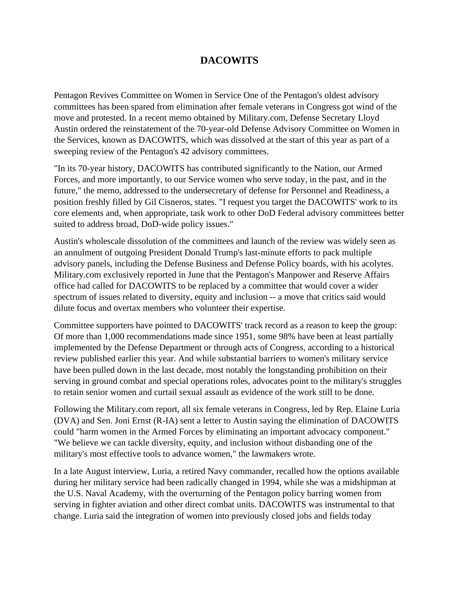## **DACOWITS**

Pentagon Revives Committee on Women in Service One of the Pentagon's oldest advisory committees has been spared from elimination after female veterans in Congress got wind of the move and protested. In a recent memo obtained by Military.com, Defense Secretary Lloyd Austin ordered the reinstatement of the 70-year-old Defense Advisory Committee on Women in the Services, known as DACOWITS, which was dissolved at the start of this year as part of a sweeping review of the Pentagon's 42 advisory committees.

"In its 70-year history, DACOWITS has contributed significantly to the Nation, our Armed Forces, and more importantly, to our Service women who serve today, in the past, and in the future," the memo, addressed to the undersecretary of defense for Personnel and Readiness, a position freshly filled by Gil Cisneros, states. "I request you target the DACOWITS' work to its core elements and, when appropriate, task work to other DoD Federal advisory committees better suited to address broad, DoD-wide policy issues."

Austin's wholescale dissolution of the committees and launch of the review was widely seen as an annulment of outgoing President Donald Trump's last-minute efforts to pack multiple advisory panels, including the Defense Business and Defense Policy boards, with his acolytes. Military.com exclusively reported in June that the Pentagon's Manpower and Reserve Affairs office had called for DACOWITS to be replaced by a committee that would cover a wider spectrum of issues related to diversity, equity and inclusion -- a move that critics said would dilute focus and overtax members who volunteer their expertise.

Committee supporters have pointed to DACOWITS' track record as a reason to keep the group: Of more than 1,000 recommendations made since 1951, some 98% have been at least partially implemented by the Defense Department or through acts of Congress, according to a historical review published earlier this year. And while substantial barriers to women's military service have been pulled down in the last decade, most notably the longstanding prohibition on their serving in ground combat and special operations roles, advocates point to the military's struggles to retain senior women and curtail sexual assault as evidence of the work still to be done.

Following the Military.com report, all six female veterans in Congress, led by Rep. Elaine Luria (DVA) and Sen. Joni Ernst (R-IA) sent a letter to Austin saying the elimination of DACOWITS could "harm women in the Armed Forces by eliminating an important advocacy component." "We believe we can tackle diversity, equity, and inclusion without disbanding one of the military's most effective tools to advance women," the lawmakers wrote.

In a late August interview, Luria, a retired Navy commander, recalled how the options available during her military service had been radically changed in 1994, while she was a midshipman at the U.S. Naval Academy, with the overturning of the Pentagon policy barring women from serving in fighter aviation and other direct combat units. DACOWITS was instrumental to that change. Luria said the integration of women into previously closed jobs and fields today